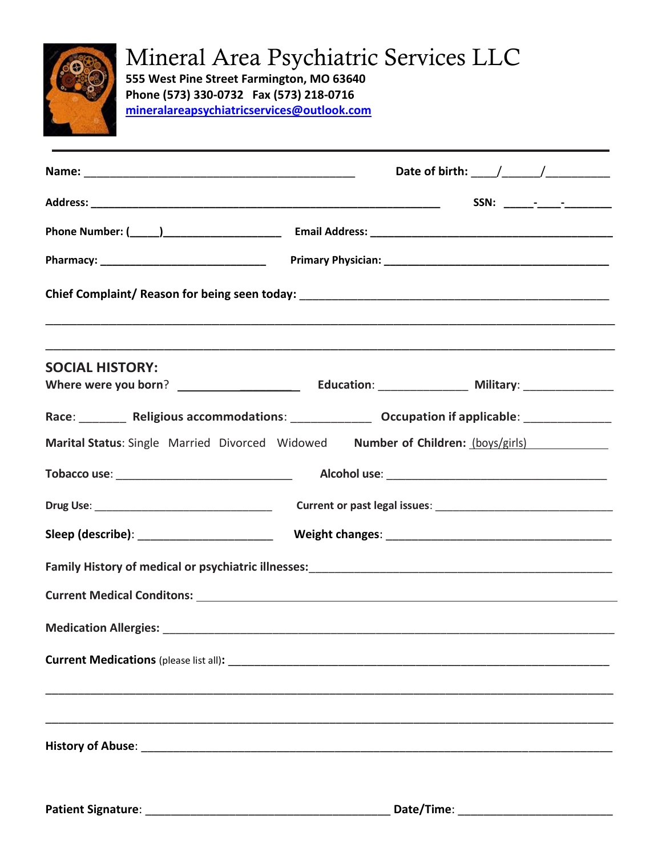

## Mineral Area Psychiatric Services LLC

**555 West Pine Street Farmington, MO 63640 Phone (573) 330-0732 Fax (573) 218-0716 [mineralareapsychiatricservices@outlook.com](mailto:mineralareapsychiatricservices@outlook.com)**

|                                               | Date of birth: $\frac{1}{2}$ $\frac{1}{2}$ $\frac{1}{2}$ $\frac{1}{2}$ $\frac{1}{2}$ $\frac{1}{2}$ $\frac{1}{2}$ $\frac{1}{2}$ $\frac{1}{2}$ $\frac{1}{2}$ $\frac{1}{2}$ $\frac{1}{2}$ $\frac{1}{2}$ $\frac{1}{2}$ $\frac{1}{2}$ $\frac{1}{2}$ $\frac{1}{2}$ $\frac{1}{2}$ $\frac{1}{2}$ $\frac{1}{2}$ $\frac{1}{$ |  |  |  |  |  |  |  |
|-----------------------------------------------|--------------------------------------------------------------------------------------------------------------------------------------------------------------------------------------------------------------------------------------------------------------------------------------------------------------------|--|--|--|--|--|--|--|
|                                               |                                                                                                                                                                                                                                                                                                                    |  |  |  |  |  |  |  |
|                                               |                                                                                                                                                                                                                                                                                                                    |  |  |  |  |  |  |  |
|                                               |                                                                                                                                                                                                                                                                                                                    |  |  |  |  |  |  |  |
|                                               |                                                                                                                                                                                                                                                                                                                    |  |  |  |  |  |  |  |
| <b>SOCIAL HISTORY:</b>                        |                                                                                                                                                                                                                                                                                                                    |  |  |  |  |  |  |  |
|                                               |                                                                                                                                                                                                                                                                                                                    |  |  |  |  |  |  |  |
|                                               | Race: _________ Religious accommodations: ______________ Occupation if applicable: ________________                                                                                                                                                                                                                |  |  |  |  |  |  |  |
|                                               | Marital Status: Single Married Divorced Widowed Number of Children: (boys/girls)                                                                                                                                                                                                                                   |  |  |  |  |  |  |  |
|                                               |                                                                                                                                                                                                                                                                                                                    |  |  |  |  |  |  |  |
|                                               |                                                                                                                                                                                                                                                                                                                    |  |  |  |  |  |  |  |
| Sleep (describe): ___________________________ |                                                                                                                                                                                                                                                                                                                    |  |  |  |  |  |  |  |
|                                               |                                                                                                                                                                                                                                                                                                                    |  |  |  |  |  |  |  |
|                                               |                                                                                                                                                                                                                                                                                                                    |  |  |  |  |  |  |  |
|                                               |                                                                                                                                                                                                                                                                                                                    |  |  |  |  |  |  |  |
|                                               |                                                                                                                                                                                                                                                                                                                    |  |  |  |  |  |  |  |
|                                               |                                                                                                                                                                                                                                                                                                                    |  |  |  |  |  |  |  |
|                                               |                                                                                                                                                                                                                                                                                                                    |  |  |  |  |  |  |  |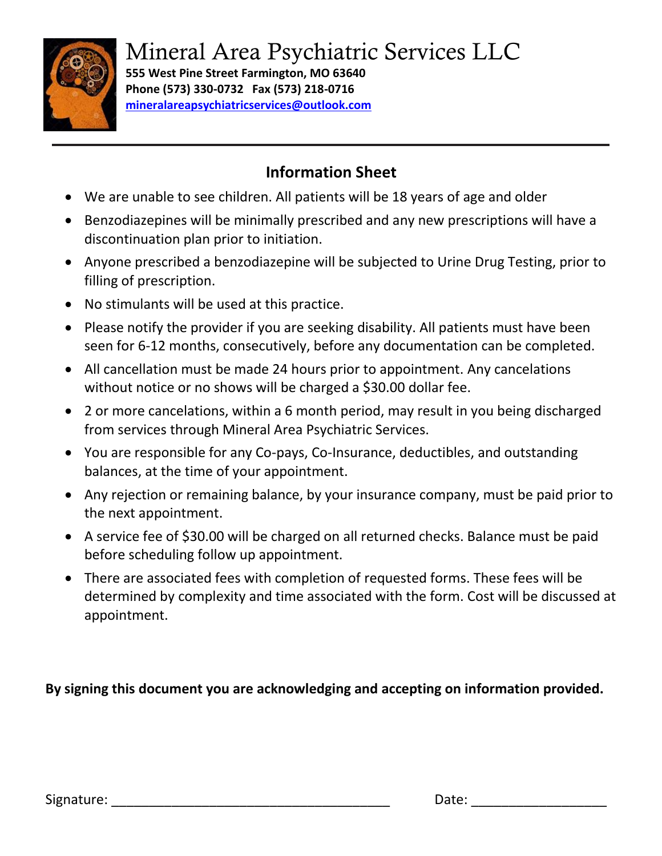

Mineral Area Psychiatric Services LLC

**555 West Pine Street Farmington, MO 63640 Phone (573) 330-0732 Fax (573) 218-0716 [mineralareapsychiatricservices@outlook.com](mailto:mineralareapsychiatricservices@outlook.com)**

## **Information Sheet**

- We are unable to see children. All patients will be 18 years of age and older
- Benzodiazepines will be minimally prescribed and any new prescriptions will have a discontinuation plan prior to initiation.
- Anyone prescribed a benzodiazepine will be subjected to Urine Drug Testing, prior to filling of prescription.
- No stimulants will be used at this practice.
- Please notify the provider if you are seeking disability. All patients must have been seen for 6-12 months, consecutively, before any documentation can be completed.
- All cancellation must be made 24 hours prior to appointment. Any cancelations without notice or no shows will be charged a \$30.00 dollar fee.
- 2 or more cancelations, within a 6 month period, may result in you being discharged from services through Mineral Area Psychiatric Services.
- You are responsible for any Co-pays, Co-Insurance, deductibles, and outstanding balances, at the time of your appointment.
- Any rejection or remaining balance, by your insurance company, must be paid prior to the next appointment.
- A service fee of \$30.00 will be charged on all returned checks. Balance must be paid before scheduling follow up appointment.
- There are associated fees with completion of requested forms. These fees will be determined by complexity and time associated with the form. Cost will be discussed at appointment.

**By signing this document you are acknowledging and accepting on information provided.**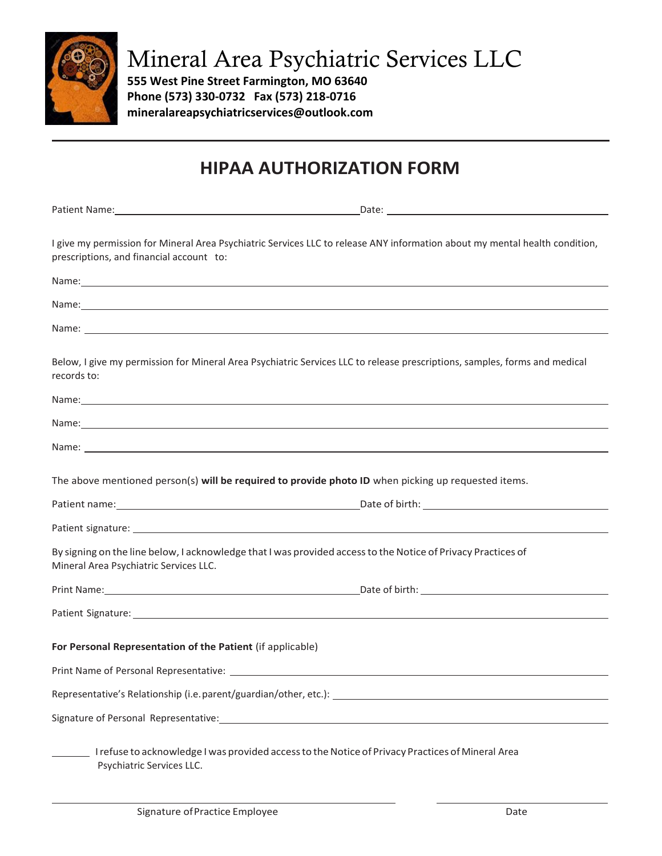

Mineral Area Psychiatric Services LLC

**555 West Pine Street Farmington, MO 63640 Phone (573) 330-0732 Fax (573) 218-0716 mineralareapsychiatricservices@outlook.com**

## **HIPAA AUTHORIZATION FORM**

Patient Name: Date: Date: Date: Date: Date: Date: Date: Date: Date: Date: Date: Date: Date: Date: Date: Date: Date: Date: Date: Date: Date: Date: Date: Date: Date: Date: Date: Date: Date: Date: Date: Date: Date: Date: Date

I give my permission for Mineral Area Psychiatric Services LLC to release ANY information about my mental health condition, prescriptions, and financial account to:

| Name: and the contract of the contract of the contract of the contract of the contract of the contract of the contract of the contract of the contract of the contract of the contract of the contract of the contract of the        |
|--------------------------------------------------------------------------------------------------------------------------------------------------------------------------------------------------------------------------------------|
| Name: <u>contract the contract of the contract of the contract of the contract of the contract of the contract of the contract of the contract of the contract of the contract of the contract of the contract of the contract o</u> |
| Name: experimental contracts and contracts of the contracts of the contracts of the contracts of the contracts of the contracts of the contracts of the contracts of the contracts of the contracts of the contracts of the co       |
| Below, I give my permission for Mineral Area Psychiatric Services LLC to release prescriptions, samples, forms and medical<br>records to:                                                                                            |
|                                                                                                                                                                                                                                      |
| Name: https://www.archive.com/communications/communications/communications/communications/communications/communications/communications/communications/communications/communications/communications/communications/communicatio       |
| Name: <u>example and the contract of the contract of the contract of the contract of the contract of the contract of the contract of the contract of the contract of the contract of the contract of the contract of the contrac</u> |
| The above mentioned person(s) will be required to provide photo ID when picking up requested items.                                                                                                                                  |
|                                                                                                                                                                                                                                      |
|                                                                                                                                                                                                                                      |
| By signing on the line below, I acknowledge that I was provided access to the Notice of Privacy Practices of<br>Mineral Area Psychiatric Services LLC.                                                                               |
|                                                                                                                                                                                                                                      |
|                                                                                                                                                                                                                                      |
| For Personal Representation of the Patient (if applicable)                                                                                                                                                                           |
| Print Name of Personal Representative: Name of Principal Action of the Action Contract of Personal Representative:                                                                                                                   |
| Representative's Relationship (i.e. parent/guardian/other, etc.): __________________________________                                                                                                                                 |
|                                                                                                                                                                                                                                      |
| I refuse to acknowledge I was provided access to the Notice of Privacy Practices of Mineral Area<br>Psychiatric Services LLC.                                                                                                        |